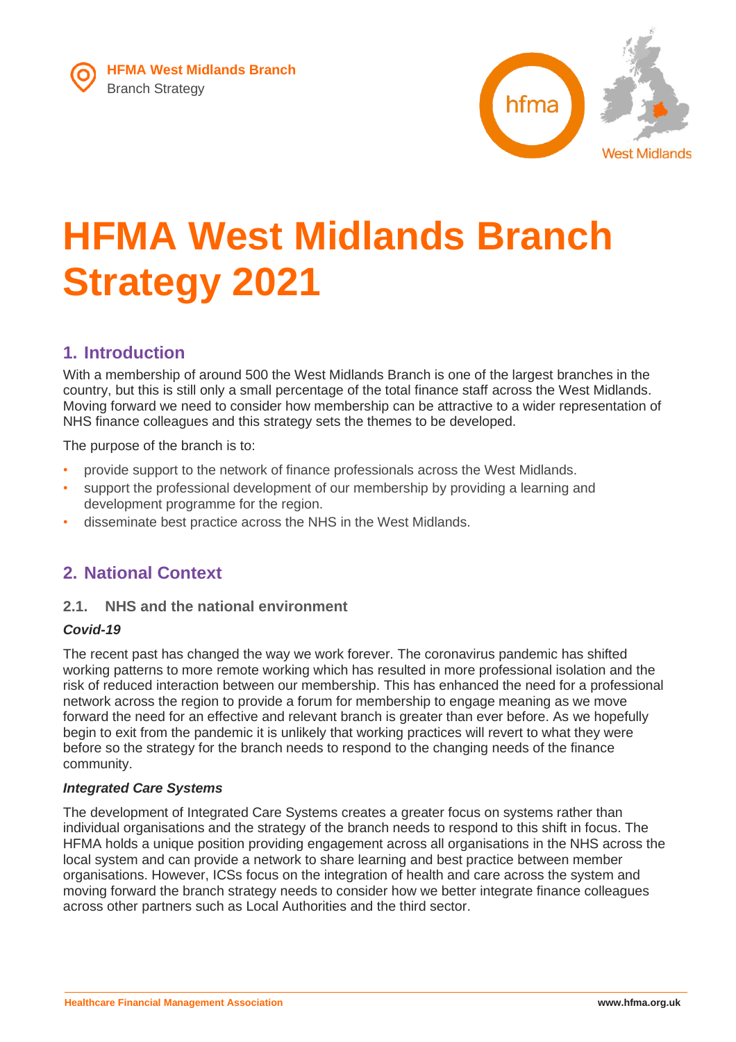

# **HFMA West Midlands Branch Strategy 2021**

# **1. Introduction**

With a membership of around 500 the West Midlands Branch is one of the largest branches in the country, but this is still only a small percentage of the total finance staff across the West Midlands. Moving forward we need to consider how membership can be attractive to a wider representation of NHS finance colleagues and this strategy sets the themes to be developed.

The purpose of the branch is to:

- provide support to the network of finance professionals across the West Midlands.
- support the professional development of our membership by providing a learning and development programme for the region.
- disseminate best practice across the NHS in the West Midlands.

# **2. National Context**

### **2.1. NHS and the national environment**

#### *Covid-19*

The recent past has changed the way we work forever. The coronavirus pandemic has shifted working patterns to more remote working which has resulted in more professional isolation and the risk of reduced interaction between our membership. This has enhanced the need for a professional network across the region to provide a forum for membership to engage meaning as we move forward the need for an effective and relevant branch is greater than ever before. As we hopefully begin to exit from the pandemic it is unlikely that working practices will revert to what they were before so the strategy for the branch needs to respond to the changing needs of the finance community.

#### *Integrated Care Systems*

The development of Integrated Care Systems creates a greater focus on systems rather than individual organisations and the strategy of the branch needs to respond to this shift in focus. The HFMA holds a unique position providing engagement across all organisations in the NHS across the local system and can provide a network to share learning and best practice between member organisations. However, ICSs focus on the integration of health and care across the system and moving forward the branch strategy needs to consider how we better integrate finance colleagues across other partners such as Local Authorities and the third sector.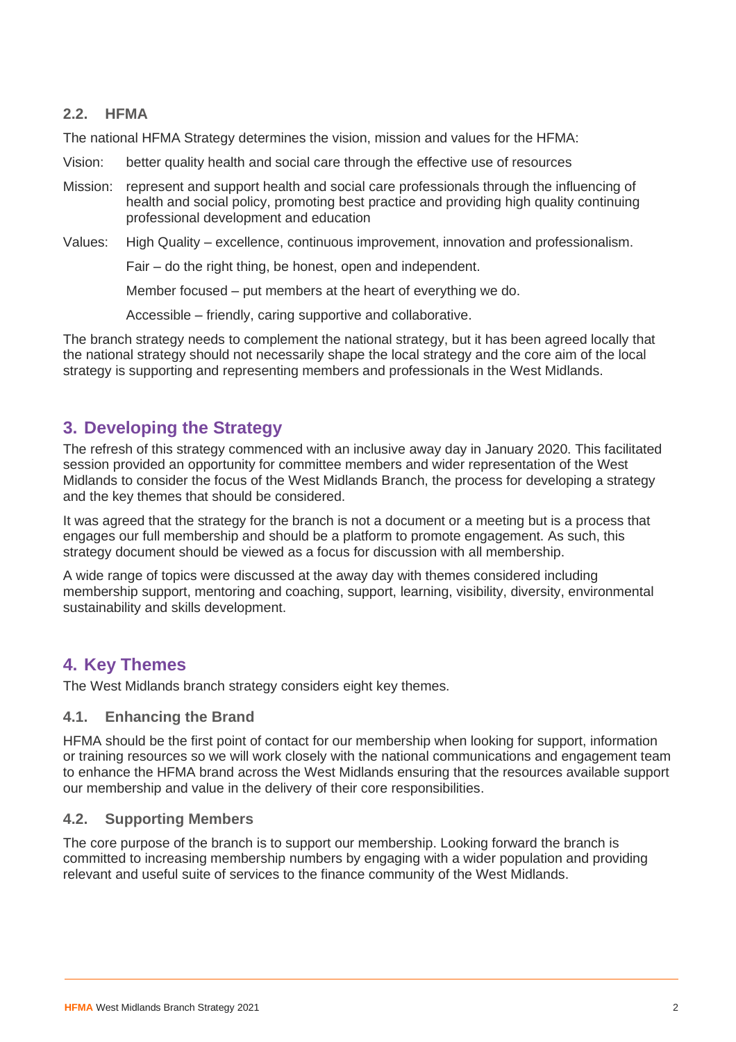#### **2.2. HFMA**

The national HFMA Strategy determines the vision, mission and values for the HFMA:

- Vision: better quality health and social care through the effective use of resources
- Mission: represent and support health and social care professionals through the influencing of health and social policy, promoting best practice and providing high quality continuing professional development and education
- Values: High Quality excellence, continuous improvement, innovation and professionalism.

Fair – do the right thing, be honest, open and independent.

Member focused – put members at the heart of everything we do.

Accessible – friendly, caring supportive and collaborative.

The branch strategy needs to complement the national strategy, but it has been agreed locally that the national strategy should not necessarily shape the local strategy and the core aim of the local strategy is supporting and representing members and professionals in the West Midlands.

## **3. Developing the Strategy**

The refresh of this strategy commenced with an inclusive away day in January 2020. This facilitated session provided an opportunity for committee members and wider representation of the West Midlands to consider the focus of the West Midlands Branch, the process for developing a strategy and the key themes that should be considered.

It was agreed that the strategy for the branch is not a document or a meeting but is a process that engages our full membership and should be a platform to promote engagement. As such, this strategy document should be viewed as a focus for discussion with all membership.

A wide range of topics were discussed at the away day with themes considered including membership support, mentoring and coaching, support, learning, visibility, diversity, environmental sustainability and skills development.

## **4. Key Themes**

The West Midlands branch strategy considers eight key themes.

#### **4.1. Enhancing the Brand**

HFMA should be the first point of contact for our membership when looking for support, information or training resources so we will work closely with the national communications and engagement team to enhance the HFMA brand across the West Midlands ensuring that the resources available support our membership and value in the delivery of their core responsibilities.

#### **4.2. Supporting Members**

The core purpose of the branch is to support our membership. Looking forward the branch is committed to increasing membership numbers by engaging with a wider population and providing relevant and useful suite of services to the finance community of the West Midlands.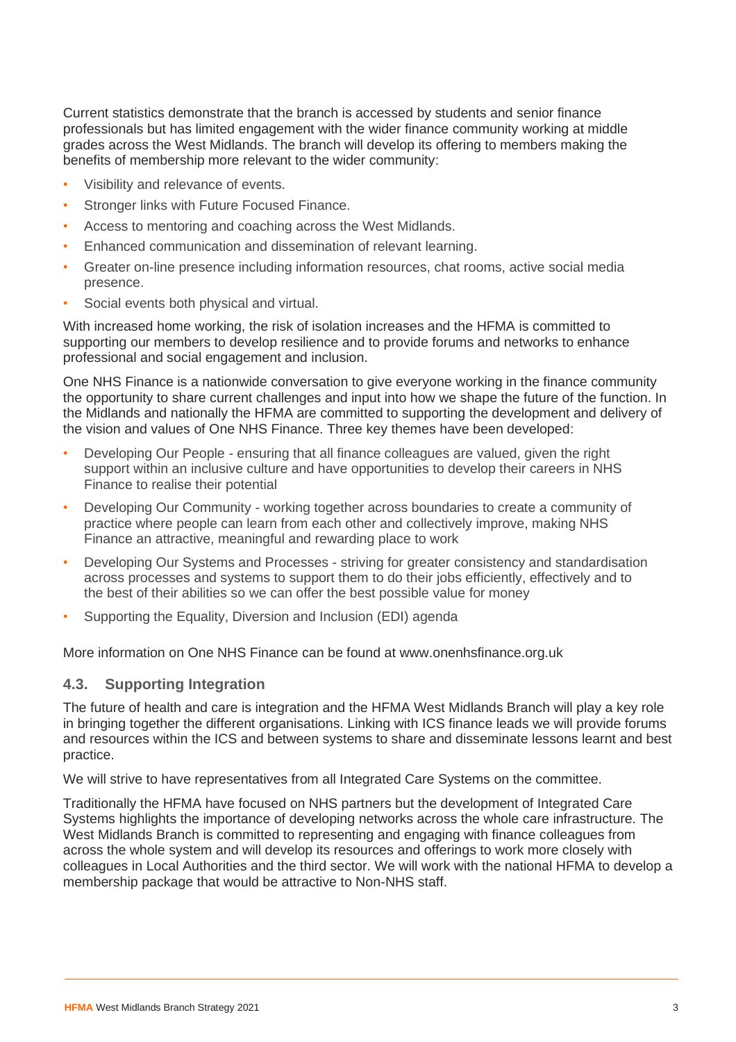Current statistics demonstrate that the branch is accessed by students and senior finance professionals but has limited engagement with the wider finance community working at middle grades across the West Midlands. The branch will develop its offering to members making the benefits of membership more relevant to the wider community:

- Visibility and relevance of events.
- Stronger links with Future Focused Finance.
- Access to mentoring and coaching across the West Midlands.
- Enhanced communication and dissemination of relevant learning.
- Greater on-line presence including information resources, chat rooms, active social media presence.
- Social events both physical and virtual.

With increased home working, the risk of isolation increases and the HFMA is committed to supporting our members to develop resilience and to provide forums and networks to enhance professional and social engagement and inclusion.

One NHS Finance is a nationwide conversation to give everyone working in the finance community the opportunity to share current challenges and input into how we shape the future of the function. In the Midlands and nationally the HFMA are committed to supporting the development and delivery of the vision and values of One NHS Finance. Three key themes have been developed:

- Developing Our People ensuring that all finance colleagues are valued, given the right support within an inclusive culture and have opportunities to develop their careers in NHS Finance to realise their potential
- Developing Our Community working together across boundaries to create a community of practice where people can learn from each other and collectively improve, making NHS Finance an attractive, meaningful and rewarding place to work
- Developing Our Systems and Processes striving for greater consistency and standardisation across processes and systems to support them to do their jobs efficiently, effectively and to the best of their abilities so we can offer the best possible value for money
- Supporting the Equality, Diversion and Inclusion (EDI) agenda

More information on One NHS Finance can be found at www.onenhsfinance.org.uk

#### **4.3. Supporting Integration**

The future of health and care is integration and the HFMA West Midlands Branch will play a key role in bringing together the different organisations. Linking with ICS finance leads we will provide forums and resources within the ICS and between systems to share and disseminate lessons learnt and best practice.

We will strive to have representatives from all Integrated Care Systems on the committee.

Traditionally the HFMA have focused on NHS partners but the development of Integrated Care Systems highlights the importance of developing networks across the whole care infrastructure. The West Midlands Branch is committed to representing and engaging with finance colleagues from across the whole system and will develop its resources and offerings to work more closely with colleagues in Local Authorities and the third sector. We will work with the national HFMA to develop a membership package that would be attractive to Non-NHS staff.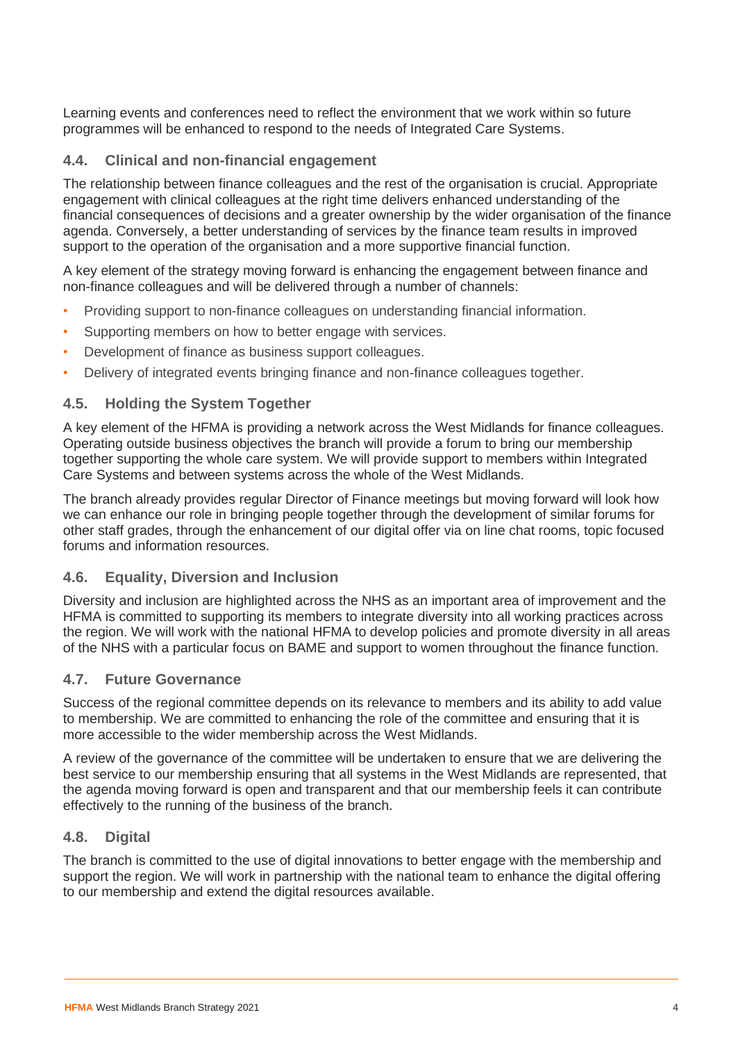Learning events and conferences need to reflect the environment that we work within so future programmes will be enhanced to respond to the needs of Integrated Care Systems.

#### **4.4. Clinical and non-financial engagement**

The relationship between finance colleagues and the rest of the organisation is crucial. Appropriate engagement with clinical colleagues at the right time delivers enhanced understanding of the financial consequences of decisions and a greater ownership by the wider organisation of the finance agenda. Conversely, a better understanding of services by the finance team results in improved support to the operation of the organisation and a more supportive financial function.

A key element of the strategy moving forward is enhancing the engagement between finance and non-finance colleagues and will be delivered through a number of channels:

- Providing support to non-finance colleagues on understanding financial information.
- Supporting members on how to better engage with services.
- Development of finance as business support colleagues.
- Delivery of integrated events bringing finance and non-finance colleagues together.

#### **4.5. Holding the System Together**

A key element of the HFMA is providing a network across the West Midlands for finance colleagues. Operating outside business objectives the branch will provide a forum to bring our membership together supporting the whole care system. We will provide support to members within Integrated Care Systems and between systems across the whole of the West Midlands.

The branch already provides regular Director of Finance meetings but moving forward will look how we can enhance our role in bringing people together through the development of similar forums for other staff grades, through the enhancement of our digital offer via on line chat rooms, topic focused forums and information resources.

#### **4.6. Equality, Diversion and Inclusion**

Diversity and inclusion are highlighted across the NHS as an important area of improvement and the HFMA is committed to supporting its members to integrate diversity into all working practices across the region. We will work with the national HFMA to develop policies and promote diversity in all areas of the NHS with a particular focus on BAME and support to women throughout the finance function.

#### **4.7. Future Governance**

Success of the regional committee depends on its relevance to members and its ability to add value to membership. We are committed to enhancing the role of the committee and ensuring that it is more accessible to the wider membership across the West Midlands.

A review of the governance of the committee will be undertaken to ensure that we are delivering the best service to our membership ensuring that all systems in the West Midlands are represented, that the agenda moving forward is open and transparent and that our membership feels it can contribute effectively to the running of the business of the branch.

#### **4.8. Digital**

The branch is committed to the use of digital innovations to better engage with the membership and support the region. We will work in partnership with the national team to enhance the digital offering to our membership and extend the digital resources available.